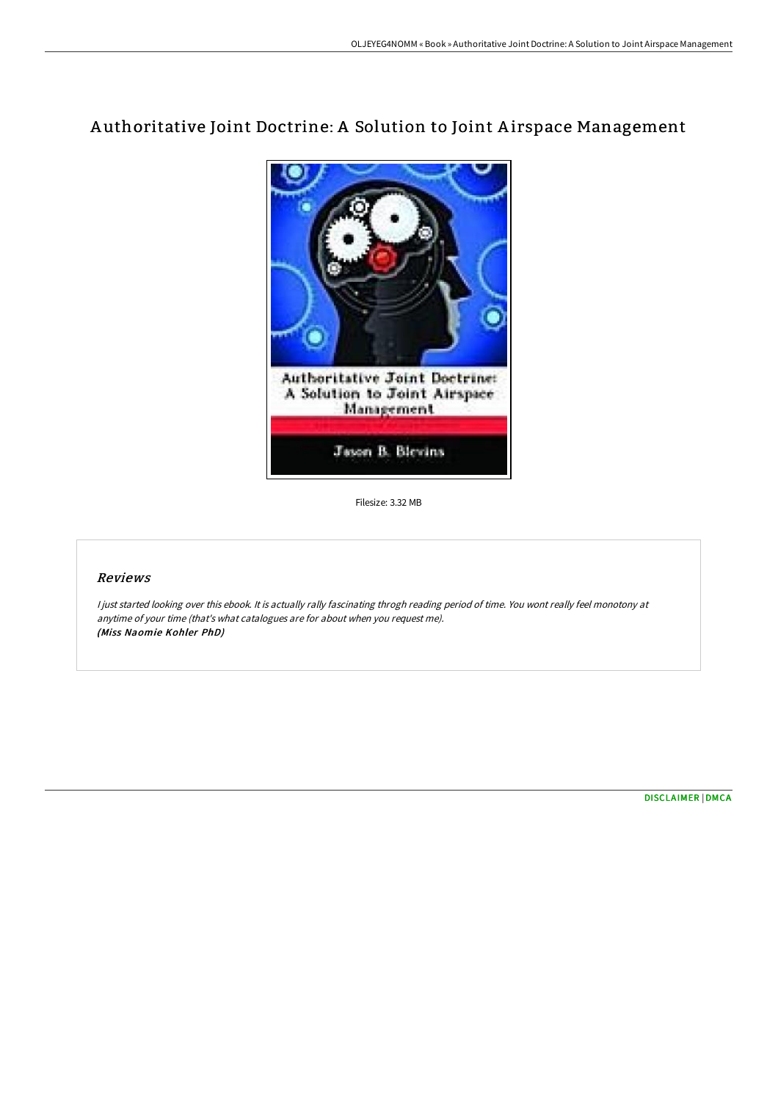# A uthoritative Joint Doctrine: A Solution to Joint A irspace Management



Filesize: 3.32 MB

## Reviews

<sup>I</sup> just started looking over this ebook. It is actually rally fascinating throgh reading period of time. You wont really feel monotony at anytime of your time (that's what catalogues are for about when you request me). (Miss Naomie Kohler PhD)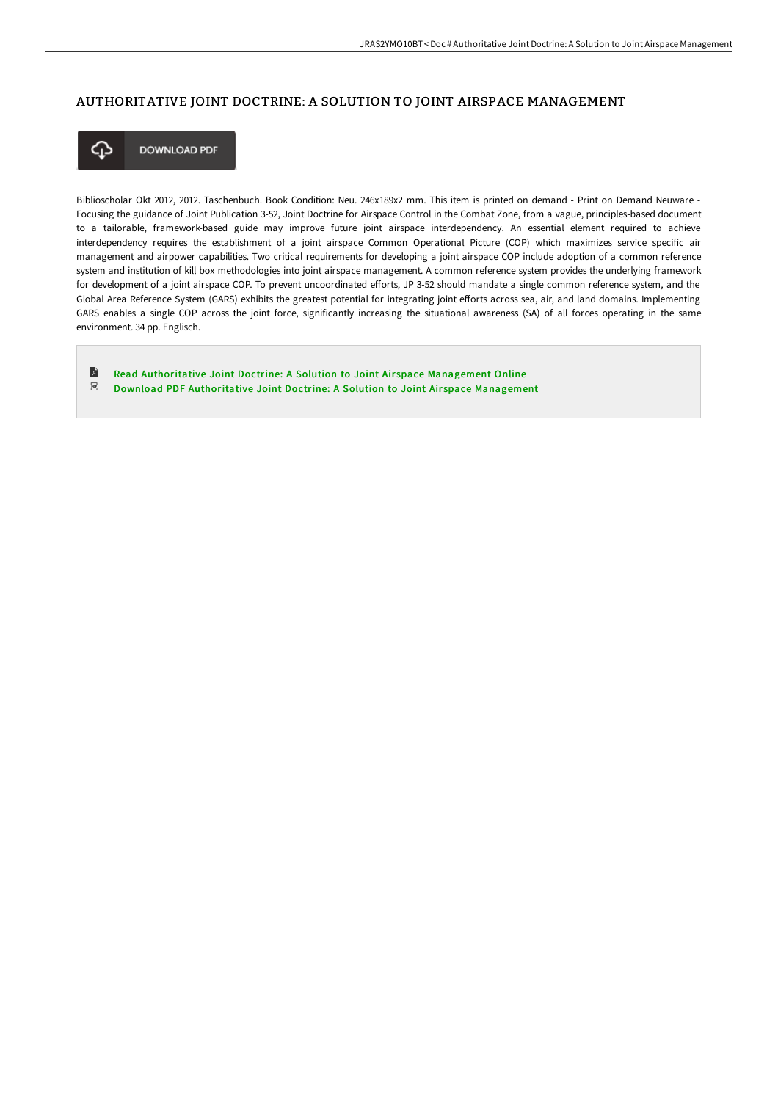#### AUTHORITATIVE JOINT DOCTRINE: A SOLUTION TO JOINT AIRSPACE MANAGEMENT



**DOWNLOAD PDF** 

Biblioscholar Okt 2012, 2012. Taschenbuch. Book Condition: Neu. 246x189x2 mm. This item is printed on demand - Print on Demand Neuware - Focusing the guidance of Joint Publication 3-52, Joint Doctrine for Airspace Control in the Combat Zone, from a vague, principles-based document to a tailorable, framework-based guide may improve future joint airspace interdependency. An essential element required to achieve interdependency requires the establishment of a joint airspace Common Operational Picture (COP) which maximizes service specific air management and airpower capabilities. Two critical requirements for developing a joint airspace COP include adoption of a common reference system and institution of kill box methodologies into joint airspace management. A common reference system provides the underlying framework for development of a joint airspace COP. To prevent uncoordinated efforts, JP 3-52 should mandate a single common reference system, and the Global Area Reference System (GARS) exhibits the greatest potential for integrating joint efforts across sea, air, and land domains. Implementing GARS enables a single COP across the joint force, significantly increasing the situational awareness (SA) of all forces operating in the same environment. 34 pp. Englisch.

E Read [Authoritative](http://albedo.media/authoritative-joint-doctrine-a-solution-to-joint.html) Joint Doctrine: A Solution to Joint Air space Management Online  $_{\rm PDF}$ Download PDF [Authoritative](http://albedo.media/authoritative-joint-doctrine-a-solution-to-joint.html) Joint Doctrine: A Solution to Joint Airspace Management